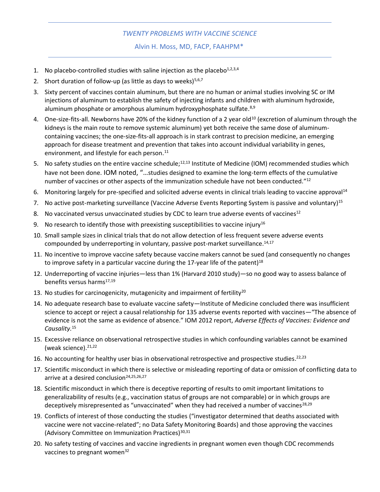## *TWENTY PROBLEMS WITH VACCINE SCIENCE*

Alvin H. Moss, MD, FACP, FAAHPM\*

- 1. No placebo-controlled studies with saline injection as the placebo $1,2,3,4$
- 2. Short duration of follow-up (as little as days to weeks) $5,6,7$
- 3. Sixty percent of vaccines contain aluminum, but there are no human or animal studies involving SC or IM injections of aluminum to establish the safety of injecting infants and children with aluminum hydroxide, aluminum phosphate or amorphous aluminum hydroxyphosphate sulfate.<sup>8,9</sup>
- 4. One-size-fits-all. Newborns have 20% of the kidney function of a 2 year old<sup>10</sup> (excretion of aluminum through the kidneys is the main route to remove systemic aluminum) yet both receive the same dose of aluminumcontaining vaccines; the one-size-fits-all approach is in stark contrast to precision medicine, an emerging approach for disease treatment and prevention that takes into account individual variability in genes, environment, and lifestyle for each person.<sup>11</sup>
- 5. No safety studies on the entire vaccine schedule;<sup>12,13</sup> Institute of Medicine (IOM) recommended studies which have not been done. IOM noted, "…studies designed to examine the long-term effects of the cumulative number of vaccines or other aspects of the immunization schedule have not been conducted."<sup>12</sup>
- 6. Monitoring largely for pre-specified and solicited adverse events in clinical trials leading to vaccine approval<sup>14</sup>
- 7. No active post-marketing surveillance (Vaccine Adverse Events Reporting System is passive and voluntary)<sup>15</sup>
- 8. No vaccinated versus unvaccinated studies by CDC to learn true adverse events of vaccines<sup>12</sup>
- 9. No research to identify those with preexisting susceptibilities to vaccine injury<sup>16</sup>
- 10. Small sample sizes in clinical trials that do not allow detection of less frequent severe adverse events compounded by underreporting in voluntary, passive post-market surveillance.<sup>14,17</sup>
- 11. No incentive to improve vaccine safety because vaccine makers cannot be sued (and consequently no changes to improve safety in a particular vaccine during the 17-year life of the patent)<sup>18</sup>
- 12. Underreporting of vaccine injuries—less than 1% (Harvard 2010 study)—so no good way to assess balance of benefits versus harms<sup>17,19</sup>
- 13. No studies for carcinogenicity, mutagenicity and impairment of fertility<sup>20</sup>
- 14. No adequate research base to evaluate vaccine safety—Institute of Medicine concluded there was insufficient science to accept or reject a causal relationship for 135 adverse events reported with vaccines—"The absence of evidence is not the same as evidence of absence." IOM 2012 report, *Adverse Effects of Vaccines: Evidence and Causality.* 15
- 15. Excessive reliance on observational retrospective studies in which confounding variables cannot be examined (weak science). 21,22
- 16. No accounting for healthy user bias in observational retrospective and prospective studies.<sup>22,23</sup>
- 17. Scientific misconduct in which there is selective or misleading reporting of data or omission of conflicting data to arrive at a desired conclusion<sup>24,25,26,27</sup>
- 18. Scientific misconduct in which there is deceptive reporting of results to omit important limitations to generalizability of results (e.g., vaccination status of groups are not comparable) or in which groups are deceptively misrepresented as "unvaccinated" when they had received a number of vaccines<sup>28,29</sup>
- 19. Conflicts of interest of those conducting the studies ("investigator determined that deaths associated with vaccine were not vaccine-related"; no Data Safety Monitoring Boards) and those approving the vaccines (Advisory Committee on Immunization Practices)<sup>30,31</sup>
- 20. No safety testing of vaccines and vaccine ingredients in pregnant women even though CDC recommends vaccines to pregnant women $32$